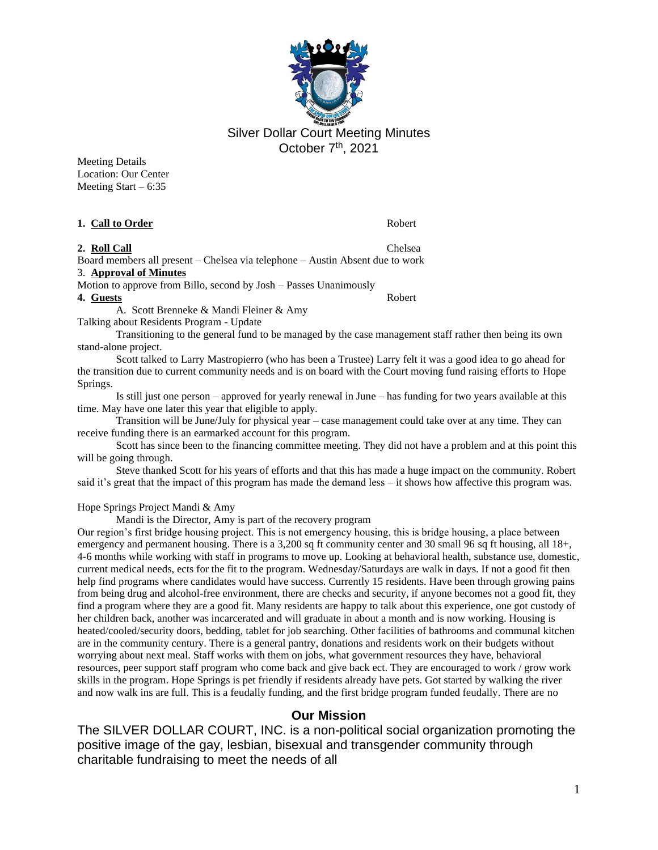

Silver Dollar Court Meeting Minutes October 7<sup>th</sup>, 2021

Meeting Details Location: Our Center Meeting Start –  $6:35$ 

#### **1. Call to Order** Robert

### **2. Roll Call** Chelsea

Board members all present – Chelsea via telephone – Austin Absent due to work

3. **Approval of Minutes**

Motion to approve from Billo, second by Josh – Passes Unanimously

**4. Guests** Robert

A. Scott Brenneke & Mandi Fleiner & Amy

Talking about Residents Program - Update

Transitioning to the general fund to be managed by the case management staff rather then being its own stand-alone project.

Scott talked to Larry Mastropierro (who has been a Trustee) Larry felt it was a good idea to go ahead for the transition due to current community needs and is on board with the Court moving fund raising efforts to Hope Springs.

Is still just one person – approved for yearly renewal in June – has funding for two years available at this time. May have one later this year that eligible to apply.

Transition will be June/July for physical year – case management could take over at any time. They can receive funding there is an earmarked account for this program.

Scott has since been to the financing committee meeting. They did not have a problem and at this point this will be going through.

Steve thanked Scott for his years of efforts and that this has made a huge impact on the community. Robert said it's great that the impact of this program has made the demand less – it shows how affective this program was.

Hope Springs Project Mandi & Amy

Mandi is the Director, Amy is part of the recovery program

Our region's first bridge housing project. This is not emergency housing, this is bridge housing, a place between emergency and permanent housing. There is a 3,200 sq ft community center and 30 small 96 sq ft housing, all 18+, 4-6 months while working with staff in programs to move up. Looking at behavioral health, substance use, domestic, current medical needs, ects for the fit to the program. Wednesday/Saturdays are walk in days. If not a good fit then help find programs where candidates would have success. Currently 15 residents. Have been through growing pains from being drug and alcohol-free environment, there are checks and security, if anyone becomes not a good fit, they find a program where they are a good fit. Many residents are happy to talk about this experience, one got custody of her children back, another was incarcerated and will graduate in about a month and is now working. Housing is heated/cooled/security doors, bedding, tablet for job searching. Other facilities of bathrooms and communal kitchen are in the community century. There is a general pantry, donations and residents work on their budgets without worrying about next meal. Staff works with them on jobs, what government resources they have, behavioral resources, peer support staff program who come back and give back ect. They are encouraged to work / grow work skills in the program. Hope Springs is pet friendly if residents already have pets. Got started by walking the river and now walk ins are full. This is a feudally funding, and the first bridge program funded feudally. There are no

### **Our Mission**

The SILVER DOLLAR COURT, INC. is a non-political social organization promoting the positive image of the gay, lesbian, bisexual and transgender community through charitable fundraising to meet the needs of all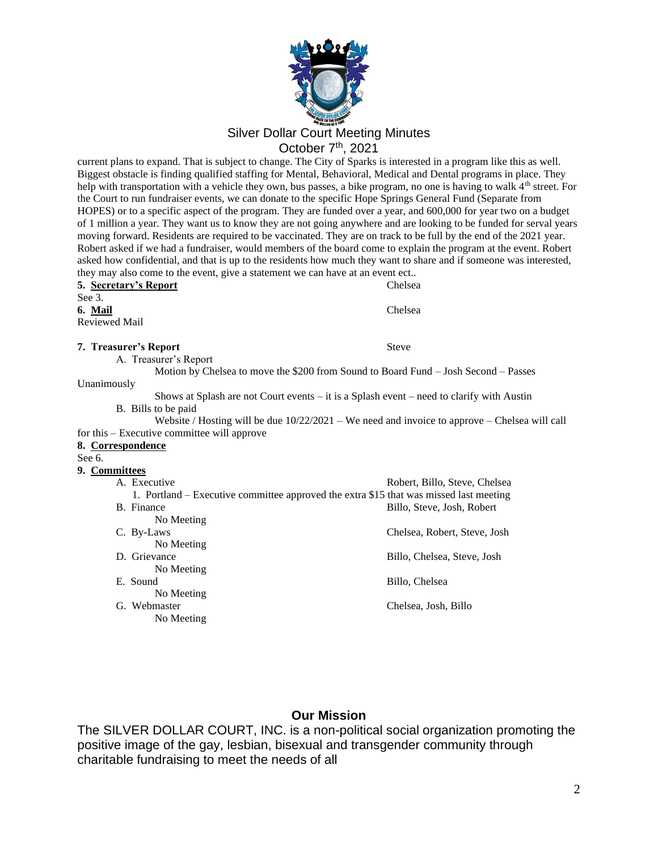

current plans to expand. That is subject to change. The City of Sparks is interested in a program like this as well. Biggest obstacle is finding qualified staffing for Mental, Behavioral, Medical and Dental programs in place. They help with transportation with a vehicle they own, bus passes, a bike program, no one is having to walk 4<sup>th</sup> street. For the Court to run fundraiser events, we can donate to the specific Hope Springs General Fund (Separate from HOPES) or to a specific aspect of the program. They are funded over a year, and 600,000 for year two on a budget of 1 million a year. They want us to know they are not going anywhere and are looking to be funded for serval years moving forward. Residents are required to be vaccinated. They are on track to be full by the end of the 2021 year. Robert asked if we had a fundraiser, would members of the board come to explain the program at the event. Robert asked how confidential, and that is up to the residents how much they want to share and if someone was interested, they may also come to the event, give a statement we can have at an event ect..

#### **5. Secretary's Report** Chelsea See 3.

**6. Mail** Chelsea Reviewed Mail

Unanimously

#### **7. Treasurer's Report** Steve

A. Treasurer's Report

Motion by Chelsea to move the \$200 from Sound to Board Fund – Josh Second – Passes

Shows at Splash are not Court events – it is a Splash event – need to clarify with Austin B. Bills to be paid

Website / Hosting will be due  $10/22/2021 -$  We need and invoice to approve – Chelsea will call for this – Executive committee will approve

### **8. Correspondence**

See 6.

### **9. Committees**

| A. Executive                                                                           | Robert, Billo, Steve, Chelsea |
|----------------------------------------------------------------------------------------|-------------------------------|
| 1. Portland – Executive committee approved the extra \$15 that was missed last meeting |                               |
| B. Finance                                                                             | Billo, Steve, Josh, Robert    |
| No Meeting                                                                             |                               |
| C. By-Laws                                                                             | Chelsea, Robert, Steve, Josh  |
| No Meeting                                                                             |                               |
| D. Grievance                                                                           | Billo, Chelsea, Steve, Josh   |
| No Meeting                                                                             |                               |
| E. Sound                                                                               | Billo, Chelsea                |
| No Meeting                                                                             |                               |
| G. Webmaster                                                                           | Chelsea, Josh, Billo          |
| No Meeting                                                                             |                               |
|                                                                                        |                               |

# **Our Mission**

The SILVER DOLLAR COURT, INC. is a non-political social organization promoting the positive image of the gay, lesbian, bisexual and transgender community through charitable fundraising to meet the needs of all

2